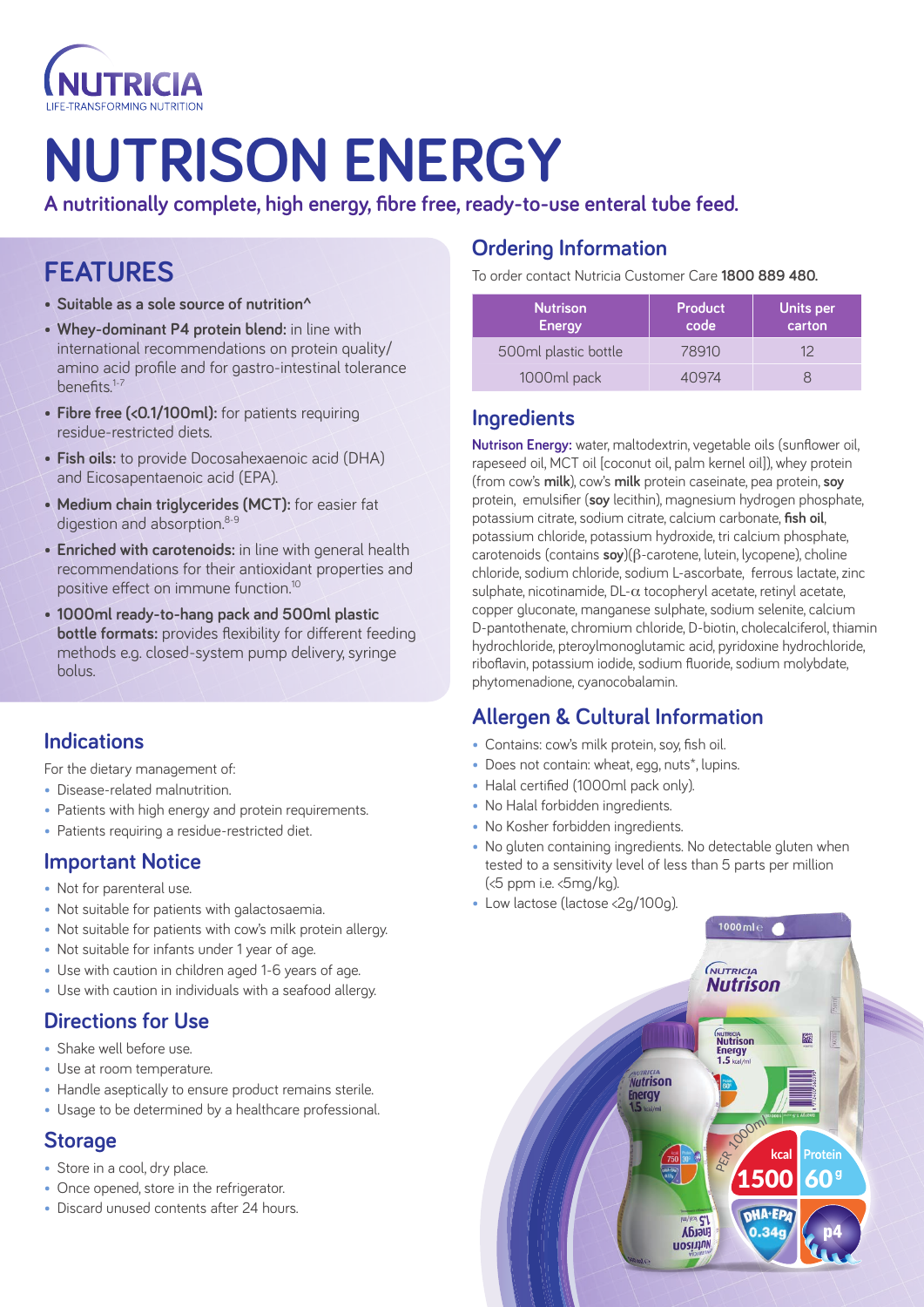

# **NUTRISON ENERGY**

**A nutritionally complete, high energy, fibre free, ready-to-use enteral tube feed.** 

# **FEATURES**

- **Suitable as a sole source of nutrition^**
- **Whey-dominant P4 protein blend:** in line with international recommendations on protein quality/ amino acid profile and for gastro-intestinal tolerance benefits.1-7
- **Fibre free (<0.1/100ml):** for patients requiring residue-restricted diets.
- **Fish oils:** to provide Docosahexaenoic acid (DHA) and Eicosapentaenoic acid (EPA).
- **Medium chain triglycerides (MCT):** for easier fat digestion and absorption.<sup>8-9</sup>
- **Enriched with carotenoids:** in line with general health recommendations for their antioxidant properties and positive effect on immune function.10
- **1000ml ready-to-hang pack and 500ml plastic bottle formats:** provides flexibility for different feeding methods e.g. closed-system pump delivery, syringe bolus.

#### **Indications**

For the dietary management of:

- Disease-related malnutrition.
- Patients with high energy and protein requirements.
- Patients requiring a residue-restricted diet.

#### **Important Notice**

- Not for parenteral use.
- Not suitable for patients with galactosaemia.
- Not suitable for patients with cow's milk protein allergy.
- Not suitable for infants under 1 year of age.
- Use with caution in children aged 1-6 years of age.
- Use with caution in individuals with a seafood allergy.

#### **Directions for Use**

- Shake well before use.
- Use at room temperature.
- Handle aseptically to ensure product remains sterile.
- Usage to be determined by a healthcare professional.

#### **Storage**

- Store in a cool, dry place.
- Once opened, store in the refrigerator.
- Discard unused contents after 24 hours.

### **Ordering Information**

To order contact Nutricia Customer Care **1800 889 480.**

| <b>Nutrison</b><br><b>Energy</b> | Product<br>code | Units per<br>carton |
|----------------------------------|-----------------|---------------------|
| 500ml plastic bottle             | 78910           | イン                  |
| 1000ml pack                      | 10974           |                     |

#### **Ingredients**

**Nutrison Energy:** water, maltodextrin, vegetable oils (sunflower oil, rapeseed oil, MCT oil [coconut oil, palm kernel oil]), whey protein (from cow's **milk**), cow's **milk** protein caseinate, pea protein, **soy** protein, emulsifier (**soy** lecithin), magnesium hydrogen phosphate, potassium citrate, sodium citrate, calcium carbonate, **fish oil**, potassium chloride, potassium hydroxide, tri calcium phosphate, carotenoids (contains **soy**)(b-carotene, lutein, lycopene), choline chloride, sodium chloride, sodium L-ascorbate, ferrous lactate, zinc sulphate, nicotinamide,  $DL-\alpha$  tocopheryl acetate, retinyl acetate, copper gluconate, manganese sulphate, sodium selenite, calcium D-pantothenate, chromium chloride, D-biotin, cholecalciferol, thiamin hydrochloride, pteroylmonoglutamic acid, pyridoxine hydrochloride, riboflavin, potassium iodide, sodium fluoride, sodium molybdate, phytomenadione, cyanocobalamin.

## **Allergen & Cultural Information**

- Contains: cow's milk protein, soy, fish oil.
- Does not contain: wheat, egg, nuts<sup>\*</sup>, lupins.
- Halal certified (1000ml pack only).
- No Halal forbidden ingredients.
- No Kosher forbidden ingredients.
- No gluten containing ingredients. No detectable gluten when tested to a sensitivity level of less than 5 parts per million (<5 ppm i.e. <5mg/kg).
- Low lactose (lactose <2g/100g).